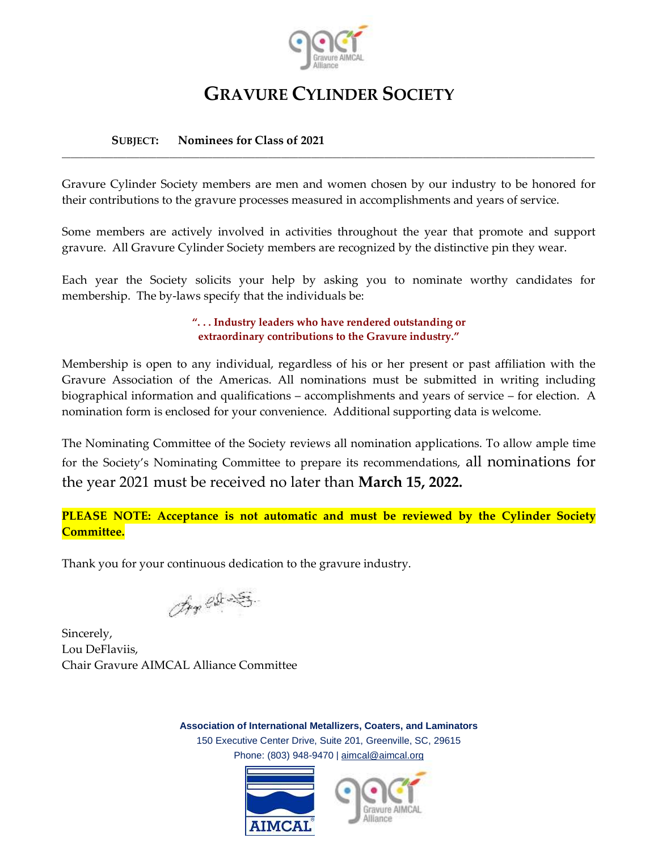

## **GRAVURE CYLINDER SOCIETY**

## **SUBJECT: Nominees for Class of 2021**

Gravure Cylinder Society members are men and women chosen by our industry to be honored for their contributions to the gravure processes measured in accomplishments and years of service.

**\_\_\_\_\_\_\_\_\_\_\_\_\_\_\_\_\_\_\_\_\_\_\_\_\_\_\_\_\_\_\_\_\_\_\_\_\_\_\_\_\_\_\_\_\_\_\_\_\_\_\_\_\_\_\_\_\_\_\_\_\_\_\_\_\_\_\_\_\_\_\_\_\_\_\_\_\_\_\_\_\_\_\_\_\_\_\_\_\_\_\_\_\_\_\_\_\_\_\_\_\_\_\_\_\_\_\_\_\_\_\_\_\_\_\_\_\_\_\_\_\_\_\_\_**

Some members are actively involved in activities throughout the year that promote and support gravure. All Gravure Cylinder Society members are recognized by the distinctive pin they wear.

Each year the Society solicits your help by asking you to nominate worthy candidates for membership. The by-laws specify that the individuals be:

> **". . . Industry leaders who have rendered outstanding or extraordinary contributions to the Gravure industry."**

Membership is open to any individual, regardless of his or her present or past affiliation with the Gravure Association of the Americas. All nominations must be submitted in writing including biographical information and qualifications – accomplishments and years of service – for election. A nomination form is enclosed for your convenience. Additional supporting data is welcome.

The Nominating Committee of the Society reviews all nomination applications. To allow ample time for the Society's Nominating Committee to prepare its recommendations, all nominations for the year 2021 must be received no later than **March 15, 2022.**

**PLEASE NOTE: Acceptance is not automatic and must be reviewed by the Cylinder Society Committee.**

Thank you for your continuous dedication to the gravure industry.

An est S

Sincerely, Lou DeFlaviis, Chair Gravure AIMCAL Alliance Committee

**Association of International Metallizers, Coaters, and Laminators** 150 Executive Center Drive, Suite 201, Greenville, SC, 29615 Phone: (803) 948-9470 | [aimcal@aimcal.org](mailto:aimcal@aimcal.org?subject=Hi!%20)



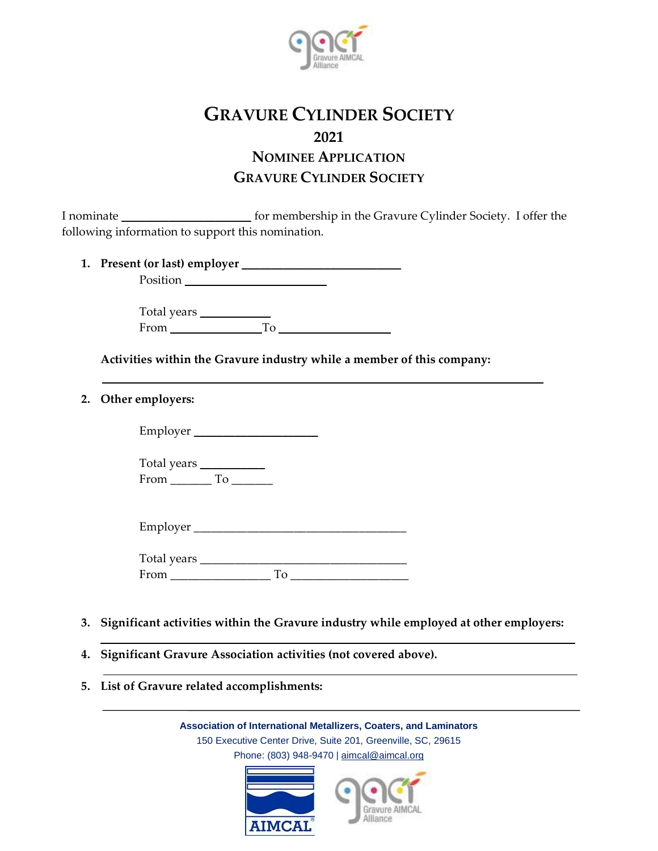

## **GRAVURE CYLINDER SOCIETY 2021 NOMINEE APPLICATION GRAVURE CYLINDER SOCIETY**

I nominate **\_\_\_\_\_\_\_\_\_\_\_\_\_\_\_\_\_\_\_\_\_\_** for membership in the Gravure Cylinder Society. I offer the following information to support this nomination.

**1. Present (or last) employer \_\_\_\_\_\_\_\_\_\_\_\_\_\_\_\_\_\_\_\_\_\_\_\_\_\_\_** Position **\_\_\_\_\_\_\_\_\_\_\_\_\_\_\_\_\_\_\_\_\_\_\_\_**

> Total years **\_\_\_\_\_\_\_\_\_\_\_\_** From **\_\_\_\_\_\_\_\_\_\_\_\_\_\_\_** To **\_\_\_\_\_\_\_\_\_\_\_\_\_\_\_\_\_\_\_**

**Activities within the Gravure industry while a member of this company:**

**2. Other employers:**

Employer **\_\_\_\_\_\_\_\_\_\_\_\_\_\_\_\_\_\_\_\_\_**

Total years **\_\_\_\_\_\_\_\_\_\_\_** From To

| Employer |  |
|----------|--|
|          |  |

| Total years |  |
|-------------|--|
| From        |  |

- **3. Significant activities within the Gravure industry while employed at other employers:**
- **4. Significant Gravure Association activities (not covered above).**
- **5. List of Gravure related accomplishments:**

**Association of International Metallizers, Coaters, and Laminators** 150 Executive Center Drive, Suite 201, Greenville, SC, 29615 Phone: (803) 948-9470 | [aimcal@aimcal.org](mailto:aimcal@aimcal.org?subject=Hi!%20)